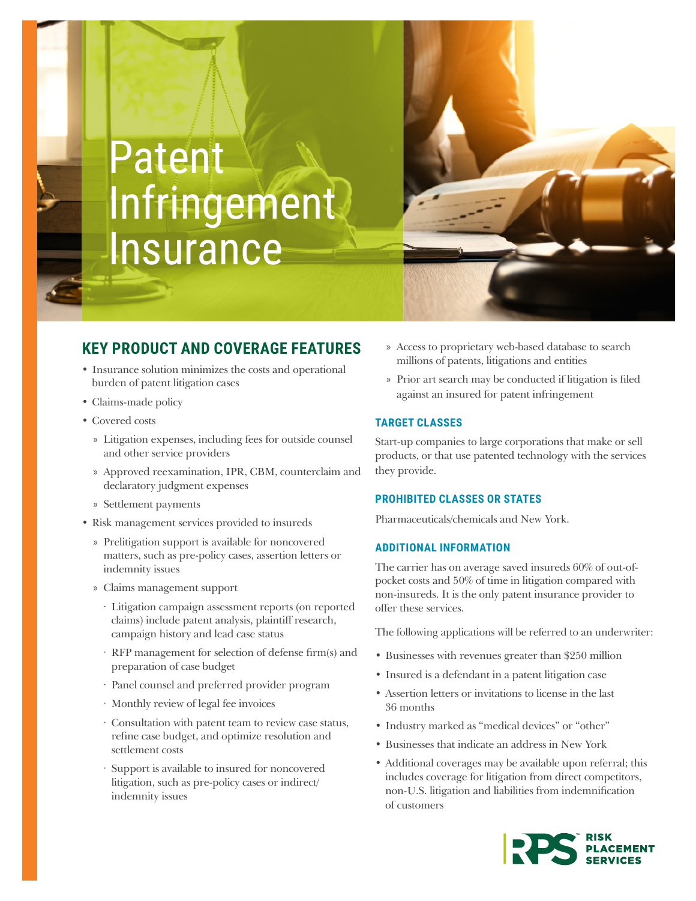# Patent Infringement **Insurance**



# **KEY PRODUCT AND COVERAGE FEATURES**

- Insurance solution minimizes the costs and operational burden of patent litigation cases
- Claims-made policy
- Covered costs
	- » Litigation expenses, including fees for outside counsel and other service providers
	- » Approved reexamination, IPR, CBM, counterclaim and declaratory judgment expenses
	- » Settlement payments
- Risk management services provided to insureds
	- » Prelitigation support is available for noncovered matters, such as pre-policy cases, assertion letters or indemnity issues
	- » Claims management support
		- · Litigation campaign assessment reports (on reported claims) include patent analysis, plaintiff research, campaign history and lead case status
		- · RFP management for selection of defense firm(s) and preparation of case budget
		- · Panel counsel and preferred provider program
		- · Monthly review of legal fee invoices
		- · Consultation with patent team to review case status, refine case budget, and optimize resolution and settlement costs
		- · Support is available to insured for noncovered litigation, such as pre-policy cases or indirect/ indemnity issues
- » Access to proprietary web-based database to search millions of patents, litigations and entities
- » Prior art search may be conducted if litigation is filed against an insured for patent infringement

# **TARGET CLASSES**

Start-up companies to large corporations that make or sell products, or that use patented technology with the services they provide.

# **PROHIBITED CLASSES OR STATES**

Pharmaceuticals/chemicals and New York.

# **ADDITIONAL INFORMATION**

The carrier has on average saved insureds 60% of out-ofpocket costs and 50% of time in litigation compared with non-insureds. It is the only patent insurance provider to offer these services.

The following applications will be referred to an underwriter:

- Businesses with revenues greater than \$250 million
- Insured is a defendant in a patent litigation case
- Assertion letters or invitations to license in the last 36 months
- Industry marked as "medical devices" or "other"
- Businesses that indicate an address in New York
- Additional coverages may be available upon referral; this includes coverage for litigation from direct competitors, non-U.S. litigation and liabilities from indemnification of customers